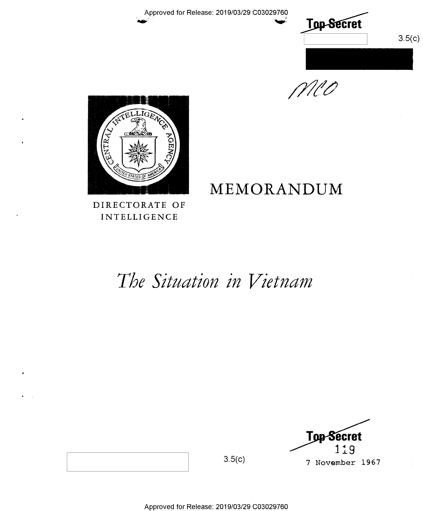

MCO



## MEMORANDUM

DIRECTORATE OF INTELLIGENCE

# The Situation in Vietnam



 $3.5(c)$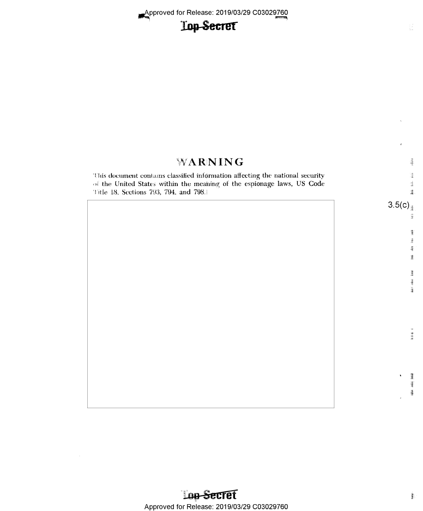|                                                                                                                                                                                                  | $\pmb{\epsilon}$                             |
|--------------------------------------------------------------------------------------------------------------------------------------------------------------------------------------------------|----------------------------------------------|
| WARNING                                                                                                                                                                                          | $\frac{1}{2}$                                |
| This document contains classified information affecting the national security<br>of the United States within the meaning of the espionage laws, US Code<br>Title 18, Sections 793, 794, and 798. | <b>基<br/>基</b>                               |
|                                                                                                                                                                                                  | 3.5(c)<br>ka 31                              |
|                                                                                                                                                                                                  | $\frac{3}{3}$<br>inga<br>羅羅<br>ž.            |
|                                                                                                                                                                                                  | <b>Add 14kd</b> Line                         |
|                                                                                                                                                                                                  | 細胞瘤 计                                        |
|                                                                                                                                                                                                  |                                              |
|                                                                                                                                                                                                  | ł<br>$\pmb{\lambda}$<br>谭<br>ļ<br>$\epsilon$ |

 $\frac{1}{2} \frac{d}{dx}$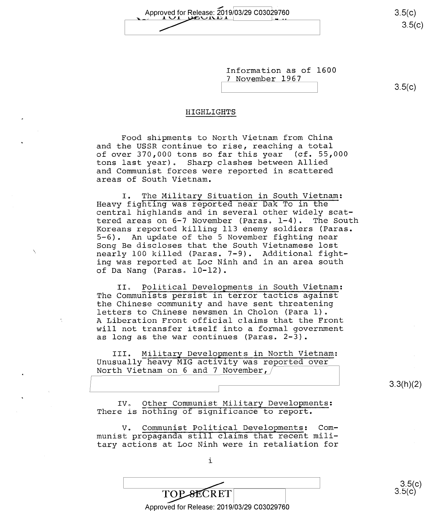Approved for Release: 2019/03/29 C03029760 3.5(c)<br>3.5(c)

Information as of 1600 <sup>7</sup>November 1967

 $3.5(c)$ 

3.3(h)(2)

 $-\sqrt{-}$ 

#### HIGHLIGHTS

Food shipments to North Vietnam from China and the USSR continue to rise, reaching a total<br>of over 370,000 tons so far this year (cf. 55,000 of over  $370,000$  tons so far this year tons last year). Sharp clashes between Allied and Communist forces were reported in scattered areas of South Vietnam.

I. The Military Situation in South Vietnam: Heavy fighting was reported near Dak To in the central highlands and in several other widely scattered areas on 6-7 November (Paras. 1-4). The South Koreans reported killing 113 enemy soldiers (Paras. 5-6). An update of the 5 November fighting near Song Be discloses that the South Vietnamese lost nearly 100 killed (Paras. 7-9). Additional fighting was reported at Loc Ninh and in an area south of Da Nang (Paras. 10-l2).

II. Political Developments in South Vietnam: The Communists persist in terror tactics against the Chinese community and have sent threatening letters to Chinese newsmen in Cholon (Para 1). A Liberation Front official claims that the Front will not transfer itself into a formal government as long as the war continues (Paras. 2-3).

III. Nilitary Developments in North Vietnam: Unusually heavy MIG activity was reported over<br>North Vietnam on 6 and 7 November, North Vietnam on 6 and 7 November,

IV. Other Communist Military Developments: There is nothing of significance to report.

V. Communist Political Developments: Communist propaganda still claims that recent military actions at Loc Ninh were in retaliation for

Approved for Release: 2019/03/29 C03029760

 $\fbox{TOP-SECRET} \over \fbox{Comp\_stCRET} \over \fbox{Sup.} \; 3.5(c)}$ 

i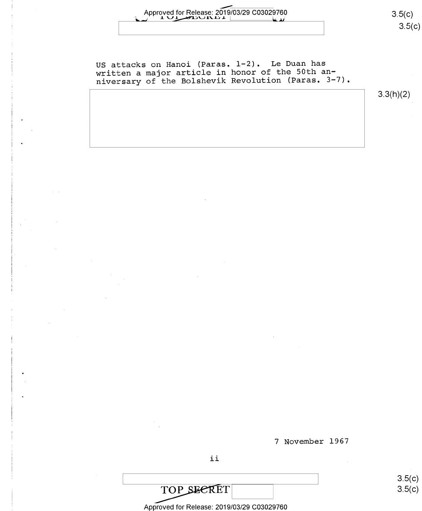# Approved for Release: 2019/03/29 C03029/60 (2019)<br>2.5§§§§§

US attacks on Hanoi (Paras. 1-2). Le Duan has written a major article in honor of the 50th anniversary of the Bolshevik Revolution (Paras. 3-7).

3.3(h)(2)

<sup>7</sup>November 1967

ii

TOP SECRET

Approved for Release: 2019/03/29 C03029760

 $3.5(c)$  $3.5(c)$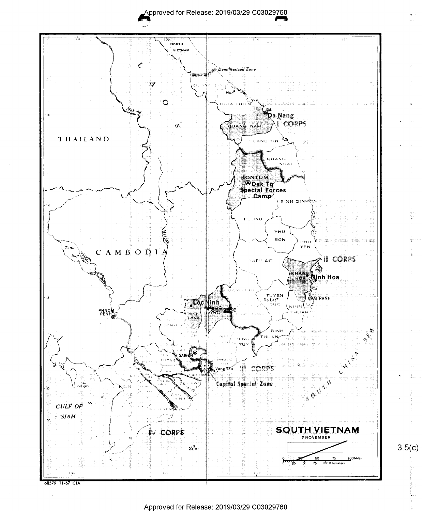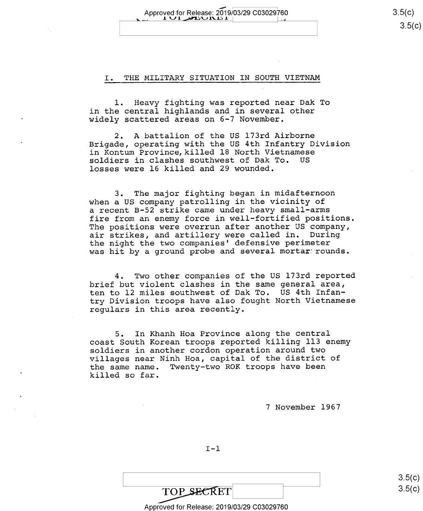Approved for Release: 2019/03/29 C03029760  $1 \vee 1$  divided in  $|1|$ 

#### I. THE MILITARY SITUATION IN SOUTH VIETNAM

l. Heavy fighting was reported near Dak To in the central highlands and in several other widely scattered areas on 6-7 November.

2. A battalion of the US l73rd Airborne Brigade, operating with the US 4th Infantry Division in Kontum Province,killed 18 North Vietnamese soldiers in clashes southwest of Dak To. US losses were 16 killed and 29 wounded.

3. The major fighting began in midafternoon when a US company patrolling in the vicinity of a recent B-52 strike came under heavy small-arms fire from an enemy force in well-fortified positions. The positions were overrun after another US company, air strikes, and artillery were called in. During the night the two companies' defensive perimeter was hit by a ground probe and several mortar rounds.

4. Two other companies of the US l73rd reported brief but violent clashes in the same general area, ten to l2 miles southwest of Dak To. US 4th Infantry Division troops have also fought North Vietnamese regulars in this area recently.

5. In Khanh Hoa Province along the central coast South Korean troops reported killing 113 enemy soldiers in another cordon operation around two villages near Ninh Hoa, capital of the district of<br>the same name. Twenty-two ROK troops have been Twenty-two ROK troops have been killed so far.

<sup>7</sup>November 1967

 $I-I$ 

 $3.5(c)$  $3.5$ (c)

TOP SECRET Approved for Release: 2019/03/29 C03029760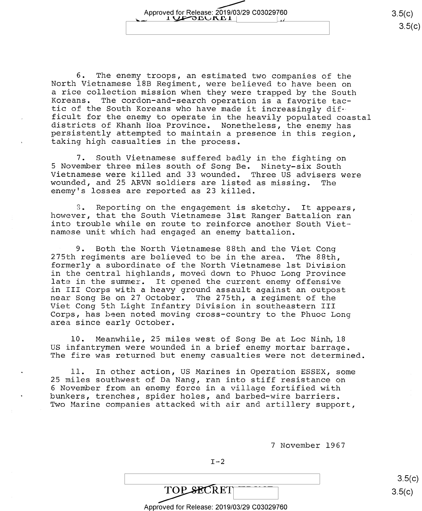6. The enemy troops, an estimated two companies of the North Vietnamese 18B Regiment, were believed to have been on Koreans. The cordon-and-search operation is a favorite tac-<br>tic of the South Koreans who have made it increasingly difficult for the enemy to operate in the heavily populated coastal districts of Khanh Hoa Province. Nonetheless, the enemy has persistently attempted to maintain a presence in this region, taking high casualties in the proce

7. South Vietnamese suffered badly in the fighting on<br>5 November three miles south of Song Be. Ninety-six South Vietnamese were killed and 33 wounded. Three US advisers were<br>wounded, and 25 ARVN soldiers are listed as missing. The<br>enemy's losses are reported as 23 killed.

S. Reporting on the engagement is sketchy. It appears, however, that the South Vietnamese 31st Ranger Battalion ran namese unit which had engaged an enemy battalion.

9. Both the North Vietnamese 88th and the Viet Cong 275th regiments are believed to be in the area. The 88th, formerly a subordinate of the North Vietnamese lst Division in the central highlands, moved down to Phuoc Long Province late in the summer. It opened the current enemy offensive in III Corps with a heavy ground assault against an outpost near Song Be on 27 October. The 275th, a regiment of the Viet Cong 5th Light Infantry Division in southeastern III Corps, has been noted moving cross—country to the Phuoc Long area since early October.

10. Meanwhile, 25 miles west of Song Be at Loc Ninh, 18<br>US infantrymen were wounded in a brief enemy mortar barrage. The fire was returned but enemy casualties were not determined.

ll. In other action, US Marines in Operation ESSEX, some 25 miles southwest of Da Nang, ran into stiff resistance on <sup>6</sup>November from an enemy force in a village fortified with bunkers, trenches, spider holes, and barbed—wire barriers. Two Marine companies attacked with air and artillery support,

<sup>7</sup>November 1967

 $TOP$  SECRET  $3.5(c)$ 

Approved for Release: 2019/03/29 C03029760

\ \ 3.5(c)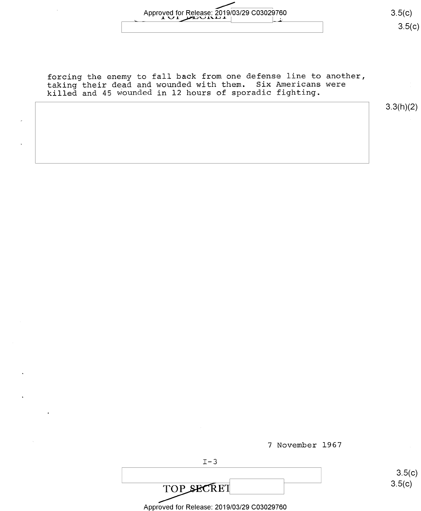# Approved for Release: 2019/03/29 C03029760 3.5(C) 3.5(C)

forcing the enemy to fall back from one defense line to another, taking their dead and wounded with them. Six Americans were killed and 45 wounded in l2 hours of sporadic fighting.

3.3(h)(2)

<u>კ ე(C)</u>

 $3.5(c)$ 

|                                            | 7 November 1967 |        |
|--------------------------------------------|-----------------|--------|
| $T-3$                                      |                 |        |
|                                            |                 | 3.5(   |
| <b>TOP SECRET</b>                          |                 | 3.5(c) |
| Approved for Release: 2019/03/29 C03029760 |                 |        |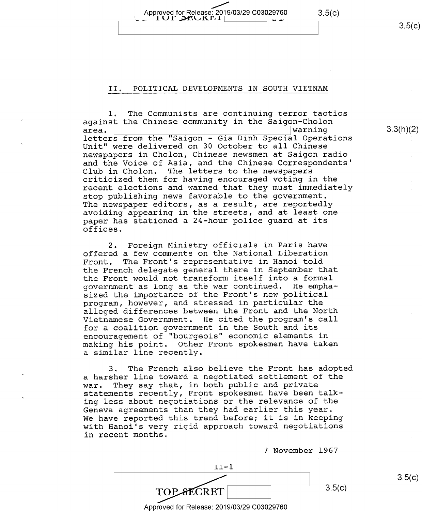Approved for Release: 2019/03/29 C03029760 3.5(c)

#### II. POLITICAL DEVELOPMENTS IN SOUTH VIETNAM

 $1$ UF DEUKET $\parallel$ 

l. The Communists are continuing terror tactics against the Chinese community in the Saigon-Cholon<br>area. letters from the "Saigon - Gia Dinh Special Operations Unit" were delivered on 30 October to all Chinese newspapers in Cholon, Chinese newsmen at Saigon radio and the Voice of Asia, and the Chinese Correspondents' Club in Cholon. The letters to the newspapers criticized them for having encouraged voting in the recent elections and warned that they must immediately stop publishing news favorable to the government. The newspaper editors, as a result, are reportedly avoiding appearing in the streets, and at least one paper has stationed a 24-hour police guard at its offices.

2. Foreign Ministry officials in Paris have offered a few comments on the National Liberation<br>Front. The Front's representative in Hanoi told The Front's representative in Hanoi told the French delegate general there in September that the Front would not transform itself into a formal government as long as the war continued. He empha sized the importance of the Front's new political program, however, and stressed in particular the alleged differences between the Front and the North Vietnamese Government. He cited the program's call for a coalition government in the South and its encouragement of "bourgeois" economic elements in making his point. Other Front spokesmen have taken a similar line recently.

3. The French also believe the Front has adopted a harsher line toward a negotiated settlement of the war. They say that, in both public and private They say that, in both public and private statements recently, Front spokesmen have been talking less about negotiations or the relevance of the Geneva agreements than they had earlier this year. We have reported this trend before; it is in keeping with Hanoi's very rigid approach toward negotiations in recent months.

<sup>7</sup>November 1967



Approved for Release: 2019/03/29 C03029760

 $3.5(c)$ 

 $3.5(c)$ 

3.3(h)(2)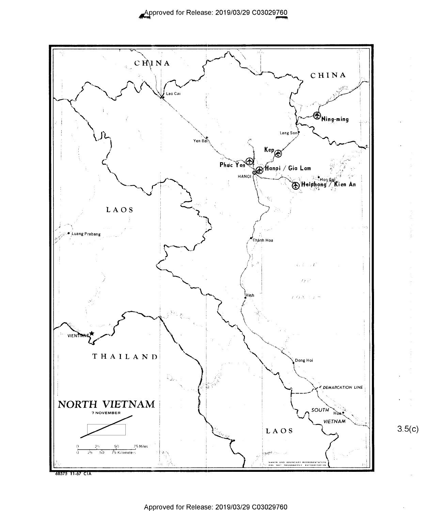

 $3.5(c)$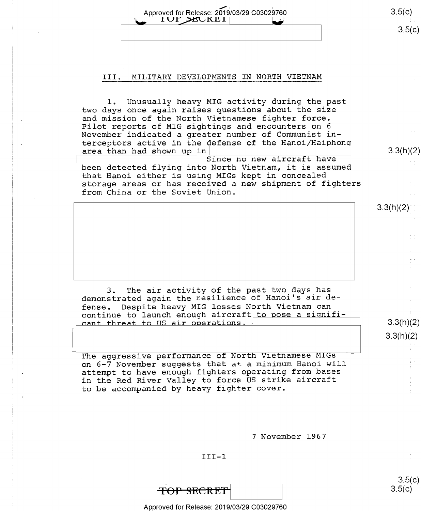Approved for Release: 2019/03/29 C03029760 3.5(C) 1UP SEUKET  $3.5(c)$ 

#### III. MILITARY DEVELOPMENTS IN NORTH VIETNAM

l. Unusually heavy MIG activity during the past two days once again raises questions about the size and mission of the North Vietnamese fighter force. Pilot reports of MIG sightings and encounters on <sup>6</sup> November indicated a greater number of Communist interceptors active in the defense of the Hanoi/Haiphon area than had shown up in  $\vert$  3.3(h)(2) Since no new aircraft have been detected flying into North Vietnam, it is assumed ' that Hanoi either is using MIGs kept in concealed storage areas or has received a new shipment of fighters

from China or the Soviet Union.

 $3.3(h)(2)$ 

3.3(h)(2)

 $3.5(c)$ 

3. The air activity of the past two days has demonstrated again the resilience of Hanoi's air defense, Despite heavy MIG losses North Vietnam can continue to launch enough aircraft to pose a signifi-<br>  $\frac{1}{\text{cant threat to US air operations.}}$  3.3(h)(2)

The aggressive performance of North Vietnamese MIGs on 6-7 November suggests that at a minimum Hanoi will attempt to have enough fighters operating from bases in the Red River Valley to force US strike aircraft to be accompanied by heavy fighter cover.

<sup>7</sup>November 1967

#### III—l

 $\qquad \qquad \overline{S} = \begin{bmatrix} 1 & 0 & 0 \\ 0 & 0 & 0 \\ 0 & 0 & 0 \end{bmatrix}$ **TOP SECRET** Approved for Release: 2019/03/29 C03029760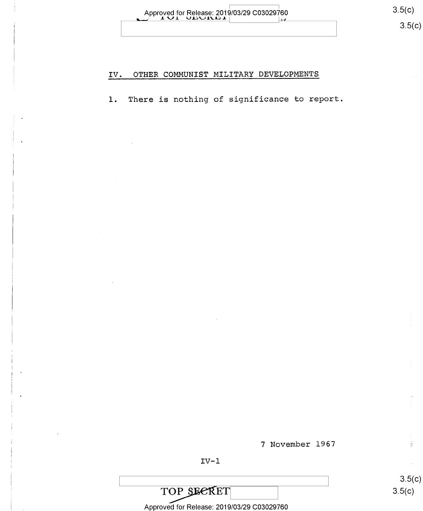| Approved for Release: 2019/03/29 C03029760 |  |
|--------------------------------------------|--|
| <b>TAIL ADAILMENT</b>                      |  |

### IV. OTHER COMMUNIST MILITARY DEVELOPMENTS

l. There is nothing of significance to report

7 November 1967

 $IV-1$ 

TOP SECRET<br>
Approved for Release: 2019/03/29 C03029760<br>
Approved for Release: 2019/03/29 C03029760

 $3.5(c)$  $3.5(c)$ 

 $\frac{\pi}{\Xi}$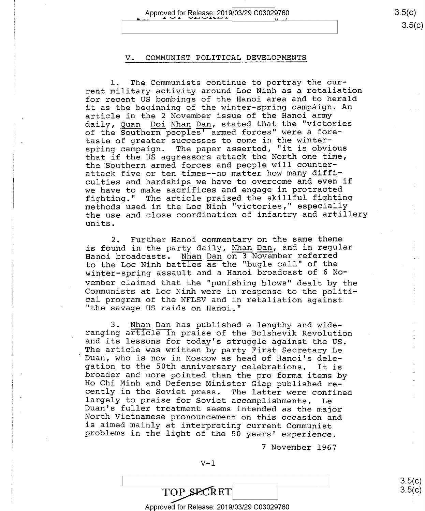## Approved for Release: 2019/03/29 C03029760 3.5(c)

 $3.5(c)$ 

 $3.5(c)$ 

#### V. COMMUNIST POLITICAL DEVELOPMENTS

l. The Communists continue to portray the current military activity around Loc Ninh as a retaliation for recent US bombings of the Hanoi area and to herald it as the beginning of the winter—spring campaign. An article in the 2 November issue of the Hanoi army daily, Quan Doi Nhan Dan, stated that the "victories of the Southern peoples' armed forces" were a foretaste of greater successes to come in the winterspring campaign. The paper asserted, "it is obvious that if the US aggressors attack the North one time, the Southern armed forces and people will counterattack five or ten times-—no matter how many difficulties and hardships we have to overcome and even if we have to make sacrifices and engage in protracted fighting." The article praised the skillful fighting methods used in the Loc Ninh "victories," especially the use and close coordination of infantry and artillery units.

2. Further Hanoi commentary on the same theme is found in the party daily, Nhan Dan, and in regular Hanoi broadcasts. Nhan Dan on 3 November referred to the Loc Ninh battles as the "bugle call" of the winter-spring assault and a Hanoi broadcast of 6 No-<br>vember claimed that the "punishing blows" dealt by the Communists at Loc Ninh were in response to the political program of the NFLSV and in retaliation against "the savage US raids on Hanoi."

<sup>3</sup>. <u>Mhan</u> Dan has published a lengthy and wide-<br>ranging article in praise of the Bolshevik Revolution<br>and its lessons for today's struggle against the US.<br>The article was written by party First Secretary Le<br>Duan, who is

<sup>7</sup>November l967

 $\overline{3.5(G)}$ 

TOP SECRET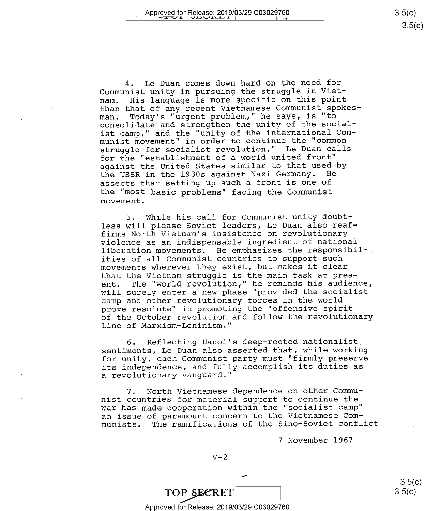$3.5(c)$ 

4. Le Duan comes down hard on the need for Communist unity in pursuing the struggle in Viet-<br>nam. His language is more specific on this point His language is more specific on this point than that of any recent Vietnamese Communist spokes-<br>man. Today's "urgent problem," he says, is "to man. Today's "urgent problem," he says, is "to consolidate and strengthen the unity of the socialist camp," and the "unity of the international Communist movement" in order to continue the "common struggle for socialist revolution." Le Duan calls for the "establishment of a world united front" against the United States similar to that used by<br>the USSR in the 1930s against Nazi Germany. He the USSR in the 1930s against Nazi Germany. asserts that setting up such a front is one of the "most basic problems" facing the Communist movement.

5. While his call for Communist unity doubtless will please Soviet leaders, Le Duan also reaffirms North Vietnam's insistence on revolutionary violence as an indispensable ingredient of national liberation movements. He emphasizes the responsibilities of all Communist countries to support such movements wherever they exist, but makes it clear that the Vietnam struggle is the main task at present. The "world revolution," he reminds his audience, will surely enter a new phase "provided the socialist camp and other revolutionary forces in the world prove resolute" in promoting the "offensive spirit of the October revolution and follow the revolutionary line of Marxism—Leninism."

6. Reflecting Hanoi's deep-rooted nationalist sentiments, Le Duan also asserted that, while working for unity, each Communist party must "firmly preserve its independence, and fully accomplish its duties as a revolutionary vanguard."

7. North Vietnamese dependence on other Communist countries for material support to continue the war has made cooperation within the "socialist camp" an issue of paramount concern to the Vietnamese Communists. The ramifications of the Sino-Soviet conflict

<sup>7</sup>November 1967

 $V-2$ 

 $\overline{\phantom{0}}$ \ 3.5 TOP SECRET Approved for Release: 2019/03/29 C03029760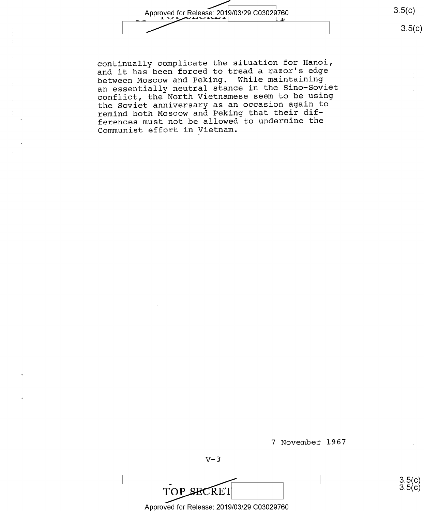Approved for Release: 2019/03/29 C03029760 3.5(c)

 $3.5(c)$ 

၁.၁(၄)<br>3.5(<mark>၄</mark>)

continually complicate the situation for Hanoi, and it has been forced to tread a razor's edge between Moscow and Peking. While maintaining an essentially neutral stance in the Sino—Soviet conflict, the North Vietnamese seem to be using the Soviet anniversary as an occasion again to remind both Moscow and Peking that their differences must not be allowed to undermine the Communist effort in Vietnam.

7 November 1967

 $V-3$ 

TOP SECRET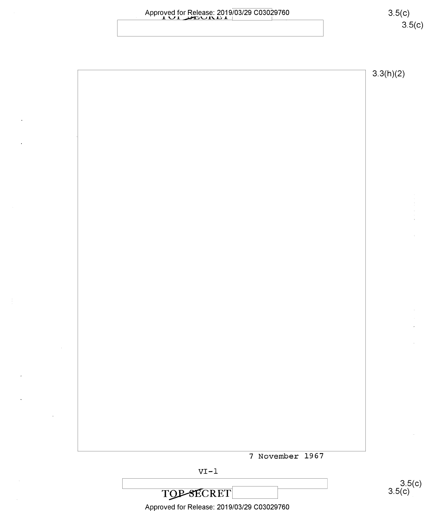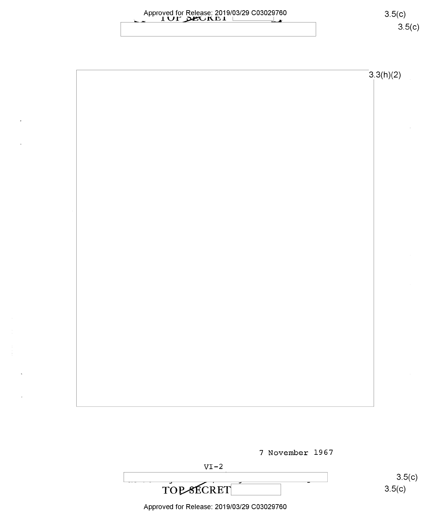

 $3.3(h)(2)$ 

7 November 1967

 $VI-2$ 

TOP-SECRET

 $3.5(c)$  $3.5(c)$ 

 $3.5(c)$ 

 $3.5(c)$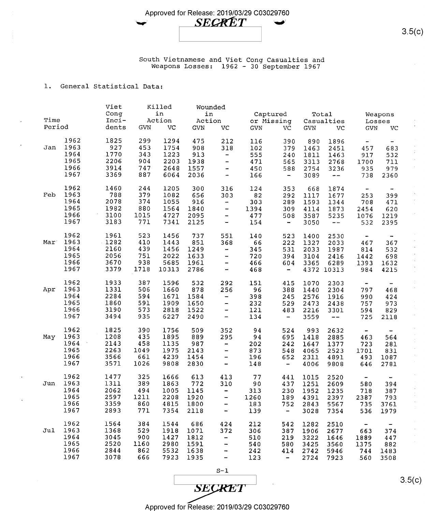



South Vietnamese and Viet Cong Casualties and Weapons Losses: 1962 - 30 September <sup>1967</sup>

#### 1. General Statistical Data:

|                  |      | Viet    |            | Killed |        | Wounded                                    |            |                              |            |            |                              |                          |
|------------------|------|---------|------------|--------|--------|--------------------------------------------|------------|------------------------------|------------|------------|------------------------------|--------------------------|
|                  |      | Conq    |            | in     | in     |                                            | Captured   |                              |            | Total      |                              | Weapons                  |
| Time             |      | Inci-   |            | Action | Action |                                            | or Missing |                              |            | Casualties |                              | Losses                   |
| Period           |      | dents   | <b>GVN</b> | VC     | GVN    | VC                                         | <b>GVN</b> | VC                           | <b>GVN</b> | VC         | <b>GVN</b>                   | VC                       |
|                  |      |         |            |        |        |                                            |            |                              |            |            |                              |                          |
|                  | 1962 | 1825    | 299        | 1294   | 475    | 212                                        | 116        | 390                          | 890        | 1896       | $\frac{1}{2}$                |                          |
| Jan              | 1963 | 927     | 453        | 1754   | 908    | 318                                        | 102        | 379                          | 1463       | 2451       | 457                          | 683                      |
|                  | 1964 | 1770    | 343        | 1223   | 913    |                                            | 555        | 240                          | 1811       | 1463       | 917                          | 532                      |
|                  | 1965 | 2206    | 904        | 2203   | 1938   | $\overline{\phantom{0}}$<br>$\blacksquare$ |            |                              |            |            |                              |                          |
|                  |      |         |            |        |        |                                            | 471        | 565                          | 3313       | 2768       | 1700                         | 711                      |
|                  | 1966 | 3914    | 747        | 2648   | 1557   | -                                          | 450        | 588                          | 2754       | 3236       | 935                          | 979                      |
|                  | 1967 | 3369    | 887        | 6064   | 2036   | $\frac{1}{2}$                              | 166        | $\qquad \qquad \blacksquare$ | 3089       | $\sim$ $-$ | 738                          | 2360                     |
|                  | 1962 | 1460    | 244        | 1205   | 300    | 316                                        | 124        | 353                          | 668        | 1874       | $\qquad \qquad \blacksquare$ | $\overline{\phantom{a}}$ |
| Feb              | 1963 | 788     | 379        | 1082   | 656    | 303                                        | 82         | 292                          | 1117       | 1677       | 253                          | 399                      |
|                  | 1964 | 2078    | 374        | 1055   | 916    |                                            | 303        |                              |            |            |                              |                          |
|                  | 1965 |         |            |        |        | -                                          |            | 289                          | 1593       | 1344       | 708                          | 471                      |
|                  |      | 1982    | 880        | 1564   | 1840   | $\overline{\phantom{0}}$                   | 1394       | 309                          | 4114       | 1873       | 2454                         | 620                      |
|                  | 1966 | 3100    | 1015       | 4727   | 2095   | -                                          | 477        | 508                          | 3587       | 5235       | 1076                         | 1219                     |
|                  | 1967 | 3183    | 771        | 7341   | 2125   | $\blacksquare$                             | 154        | $\blacksquare$               | 3050       | $- -$      | 532                          | 2395                     |
|                  | 1962 | 1961    | 523        | 1456   | 737    | 551                                        | 140        | 523                          | 1400       | 2530       |                              |                          |
| Mar <sup>.</sup> | 1963 | $-1282$ | 410        | 1443   | 851    | 368                                        | 66         | 222                          | 1327       | 2033       | ۰<br>467                     | 367                      |
|                  | 1964 | 2160    | 439        |        | 1249   |                                            |            |                              |            |            |                              |                          |
|                  |      |         |            | 1456   |        | $\overline{\phantom{0}}$                   | 345        | 531                          | 2033       | 1987       | 814                          | 532                      |
|                  | 1965 | 2056    | 751        | 2022   | 1633   | $\overline{a}$                             | 720        | 394                          | 3104       | 2416       | 1442                         | 698                      |
|                  | 1966 | 3670    | 938        | 5685   | 1961   | -                                          | 466        | 604                          | 3365       | 6289       | 1393                         | 1632                     |
|                  | 1967 | 3379    | 1718       | 10313  | 2786   | $\overline{\phantom{a}}$                   | 468        | -                            |            | 4372 10313 | 984                          | 4215                     |
|                  | 1962 | 1933    | 387        | 1596   | 532    | 292                                        | 151        | 415                          | 1070       | 2303       | -                            |                          |
| Apr              | 1963 | 1331    | 506        | 1660   | 878    | 256                                        | 96         | 388                          | 1440       | 2304       | 797                          | 468                      |
|                  | 1964 | 2284    | 594        | 1671   | 1584   |                                            | 398        |                              |            |            |                              |                          |
|                  |      |         | 591        |        |        | -                                          |            | 245                          | 2576       | 1916       | 990                          | 424                      |
|                  | 1965 | 1860    |            | 1909   | 1650   | $\overline{\phantom{0}}$                   | 232        | 529                          | 2473       | 2438       | 757                          | 973                      |
|                  | 1966 | 3190    | 573        | 2818   | 1522   | -                                          | 121        | 483                          | 2216       | 3301       | 594                          | 829                      |
|                  | 1967 | 3494    | 935        | 6227   | 2490   | -                                          | 134        | $\overline{\phantom{0}}$     | 3559       | $- -$      | 725                          | 2118                     |
|                  | 1962 | 1825    | 390        | 1756   | 509    | 352                                        | 94         | 524                          | 993        | 2632       | $\blacksquare$               |                          |
| May              | 1963 | 1208    | 435        | 1895   | 889    | 295                                        | 94         | 695                          | 1418       | 2885       | 463                          | 564                      |
|                  | 1964 | 2143    | 458        | 1135   | 987    | -                                          | 202        | 242                          | 1647       | 1377       | 723                          | 281                      |
|                  | 1965 | 2263    | 1049       | 1975   | 2143   | $\overline{\phantom{0}}$                   |            | 548                          |            |            |                              |                          |
|                  |      |         | 661        |        |        |                                            | 873        |                              | 4065       | 2523       | 1701                         | 831                      |
|                  | 1966 | 3566    |            | 4239   | 1454   | $\overline{\phantom{0}}$                   | 196        | 652                          | 2311       | 4891       | 493                          | 1087                     |
|                  | 1967 | 3571    | 1026       | 9808   | 2830   | $\overline{\phantom{a}}$                   | 148        | -                            | 4006       | 9808       | 646                          | 2781                     |
|                  | 1962 | 1477    | 325        | 1666   | 613    | 413                                        | 77         | 441                          | 1015       | 2520       | ۰                            |                          |
| Jun              | 1963 | 1311    | 389        | 1863   | 772    | 310                                        | 90         | 437                          | 1251       | 2609       | 580                          | 394                      |
|                  | 1964 | 2062    | 494        | 1005   | 1145   | $\qquad \qquad \blacksquare$               | 313        | 230                          | 1952       | 1235       | 718                          | 387                      |
|                  | 1965 | 2597    | 1211       | 2208   | 1920   | -                                          | 1260       | 189                          | 4391       | 2397       | 2387                         | 793                      |
|                  | 1966 | 3359    | 860        | 4815   | 1800   | -                                          | 183        | 752                          | 2843       | 5567       | 735                          | 3761                     |
|                  | 1967 |         |            |        |        |                                            |            |                              |            |            |                              |                          |
|                  |      | 2893    | 771        | 7354   | 2118   | $\overline{\phantom{a}}$                   | 139        | $\qquad \qquad \blacksquare$ | 3028       | 7354       | 536                          | 1979                     |
|                  | 1962 | 1564    | 384        | 1544   | 686    | 424                                        | 212        | 542                          | 1282       | 2510       | ÷                            |                          |
| Jul              | 1963 | 1368    | 529        | 1918   | 1071   | 372                                        | 306        | 387                          | 1906       | 2677       | 663                          | 374                      |
|                  | 1964 | 3045    | 900        | 1427   | 1812   | $\qquad \qquad -$                          | 510        | 219                          | 3222       | 1646       | 1889                         | 447                      |
|                  | 1965 | 2520    | 1160       | 2980   | 1591   | -                                          | 540        | 580                          | 3425       | 3560       | 1375                         | 882                      |
|                  | 1966 | 2844    | 862        | 5532   | 1638   | -                                          | 242        | 414                          | 2742       | 5946       | 744                          | 1483                     |
|                  | 1967 | 3078    | 666        | 7923   | 1935   | $\qquad \qquad -$                          | 123        | $\frac{1}{2}$                | 2724       | 7923       | 560                          | 3508                     |
|                  |      |         |            |        |        |                                            |            |                              |            |            |                              |                          |

**SECRET** 

 $S-1$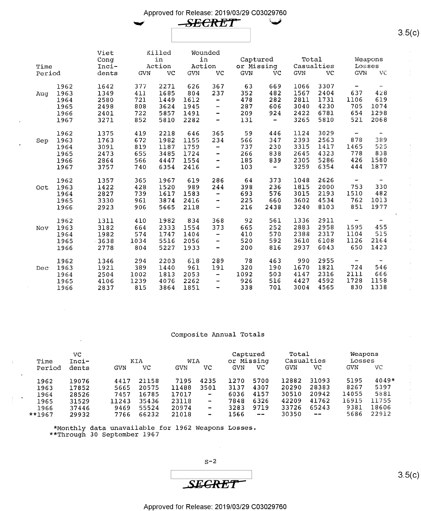

| Time<br>Period |                                      | Viet<br>Conq<br>Inci-<br>dents       | <b>GVN</b>                      | Killed<br>in<br>Action<br>VC         | Wounded<br>in<br>Action<br><b>GVN</b> | VC                                                           | Captured<br>or Missing<br><b>GVN</b> | <b>VC</b>                        | Total<br>Casualties<br><b>GVN</b>    | <b>VC</b>                            | Losses<br><b>GVN</b>                           | Weapons<br>VC                                                          |
|----------------|--------------------------------------|--------------------------------------|---------------------------------|--------------------------------------|---------------------------------------|--------------------------------------------------------------|--------------------------------------|----------------------------------|--------------------------------------|--------------------------------------|------------------------------------------------|------------------------------------------------------------------------|
| Aug            | 1962                                 | 1642                                 | 377                             | 2271                                 | 626                                   | 367                                                          | 63                                   | 669                              | 1066                                 | 3307                                 | $\qquad \qquad \blacksquare$                   | $\overline{\phantom{a}}$                                               |
|                | 1963                                 | 1349                                 | 411                             | 1685                                 | 804                                   | 237                                                          | 352                                  | 482                              | 1567                                 | 2404                                 | 637                                            | 428                                                                    |
|                | 1964                                 | 2580                                 | 721                             | 1449                                 | 1612                                  | $\overline{\phantom{a}}$                                     | 478                                  | 282                              | 2811                                 | 1731                                 | 1106                                           | 619                                                                    |
|                | 1965                                 | 2498                                 | 808                             | 3624                                 | 1945                                  | $\qquad \qquad \blacksquare$                                 | 287                                  | 606                              | 3040                                 | 4230                                 | 705                                            | 1074                                                                   |
|                | 1966                                 | 2401                                 | 722                             | 5857                                 | 1491                                  | $\qquad \qquad \blacksquare$                                 | 209                                  | 924                              | 2422                                 | 6781                                 | 654                                            | 1298                                                                   |
|                | 1967                                 | 3271                                 | 852                             | 5810                                 | 2282                                  | -                                                            | 131                                  | $\overline{\phantom{a}}$         | 3265                                 | 5810                                 | 521                                            | 2068                                                                   |
| Sep            | 1962                                 | 1375                                 | 419                             | 2218                                 | 646                                   | 365                                                          | 59                                   | 446                              | 1124                                 | 3029                                 | $\overline{\phantom{a}}$                       | ۰                                                                      |
|                | 1963                                 | 1763                                 | 672                             | 1982                                 | 1155                                  | 234                                                          | 566                                  | 347                              | 2393                                 | 2563                                 | 878                                            | 389                                                                    |
|                | 1964                                 | 3091                                 | 819                             | 1187                                 | 1759                                  | $\overline{\phantom{m}}$                                     | 737                                  | 230                              | 3315                                 | 1417                                 | 1465                                           | 525                                                                    |
|                | 1965                                 | 2473                                 | 655                             | 3485                                 | 1724                                  | -                                                            | 266                                  | 838                              | 2645                                 | 4323                                 | 778                                            | 838                                                                    |
|                | 1966                                 | 2864                                 | 566                             | 4447                                 | 1554                                  | -                                                            | 185                                  | 839                              | 2305                                 | 5286                                 | 426                                            | 1580                                                                   |
|                | 1967                                 | 3757                                 | 740                             | 6354                                 | 2416                                  | -                                                            | 103                                  | $\tilde{\phantom{a}}$            | 3259                                 | 6354                                 | 444                                            | 1877                                                                   |
| Oct            | 1962<br>1963<br>1964<br>1965<br>1966 | 1357<br>1422<br>2827<br>3330<br>2923 | 365<br>428<br>739<br>961<br>906 | 1967<br>1520<br>1617<br>3874<br>5665 | 619<br>989<br>1583<br>2416<br>2118    | 286<br>244<br>$\rightarrow$<br>۰<br>$\overline{\phantom{a}}$ | 64<br>398<br>693<br>225<br>216       | 373<br>236<br>576<br>660<br>2438 | 1048<br>1815<br>3015<br>3602<br>3240 | 2626<br>2000<br>2193<br>4534<br>8103 | $\qquad \qquad -$<br>753<br>1510<br>762<br>851 | $\overline{\phantom{0}}$<br>330<br>482<br>1013<br>1977<br>$\mathbf{u}$ |
| Nov            | 1962                                 | 1311                                 | 410                             | 1982                                 | 834                                   | 368                                                          | 92                                   | 561                              | 1336                                 | 2911                                 | $\overline{\phantom{a}}$                       | $\overline{\phantom{a}}$                                               |
|                | 1963                                 | 3182                                 | 664                             | 2333                                 | 1554                                  | 373                                                          | 665                                  | 252                              | 2883                                 | 2958                                 | 1595                                           | 455                                                                    |
|                | 1964                                 | 1982                                 | 574                             | 1747                                 | 1404                                  | $\qquad \qquad \blacksquare$                                 | 410                                  | 570                              | 2388                                 | 2317                                 | 1104                                           | 515                                                                    |
|                | 1965                                 | $-3638$                              | 1034                            | 5516                                 | 2056                                  | -                                                            | 520                                  | 592                              | 3610                                 | 6108                                 | 1126                                           | 2164                                                                   |
|                | 1966                                 | 2778                                 | 804                             | 5227                                 | 1933                                  | $\overline{\phantom{a}}$                                     | 200                                  | 816                              | 2937                                 | 6043                                 | 650                                            | 1423                                                                   |
| Dec            | 1962                                 | 1346                                 | 294                             | 2203                                 | 618                                   | 289                                                          | 78                                   | 463                              | 990                                  | 2955                                 | $\overline{\phantom{a}}$                       | -                                                                      |
|                | 1963                                 | 1921                                 | 389                             | 1440                                 | 961                                   | 191                                                          | 320                                  | 190                              | 1670                                 | 1821                                 | 724                                            | 546                                                                    |
|                | 1964                                 | 2504                                 | 1002                            | 1813                                 | 2053                                  | $\overline{\phantom{a}}$                                     | 1092                                 | 503                              | 4147                                 | 2316                                 | 2111                                           | 666                                                                    |
|                | 1965                                 | 4106                                 | 1239                            | 4076                                 | 2262                                  | $\overline{\phantom{a}}$                                     | 926                                  | 516                              | 4427                                 | 4592                                 | 1728                                           | 1158                                                                   |
|                | 1966                                 | 2837                                 | 815                             | 3864                                 | 1851                                  | $\overline{\phantom{a}}$                                     | 338                                  | 701                              | 3004                                 | 4565                                 | 830                                            | 1338                                                                   |

#### Composite Annual Totals

| Time    | Inci- |       | KIA   | WIA   |                              | or Missing | Captured                 | Total<br>Casualties |                   | Losses     | Weapons |
|---------|-------|-------|-------|-------|------------------------------|------------|--------------------------|---------------------|-------------------|------------|---------|
| Period  | dents | GVN   | VС    | GVN   | vc                           | GVN        | VC.                      | GVN                 | VC                | <b>GVN</b> | VC      |
| 1962    | 19076 | 4417  | 21158 | 7195  | 4235                         | 1270       | 5700                     | 12882               | 31093             | 5195       | $4049*$ |
| 1963    | 17852 | 5665  | 20575 | 11488 | 3501                         | 3137       | 4307                     | 20290               | 28383             | 8267       | 5397    |
| 1964    | 28526 | 7457  | 16785 | 17017 | $\overline{\phantom{a}}$     | 6036       | 4157                     | 30510               | 20942             | 14055      | 5881    |
| 1965    | 31529 | 11243 | 35436 | 23118 | $\qquad \qquad \blacksquare$ | 7848       | 6326                     | 42209               | 41762             | 16915      | 11755   |
| 1966    | 37446 | 9469  | 55524 | 20974 | $\qquad \qquad \blacksquare$ | 3283       | 9719                     | 33726               | 65243             | 9381       | 18606   |
| $*1967$ | 29932 | 7766  | 66232 | 21018 | ۰                            | 1566       | $\overline{\phantom{m}}$ | 30350               | $\qquad \qquad -$ | 5686       | 22912   |

\*Monthly data unavailable for 1962 Weapons Losses \*\*Through 30 September <sup>1967</sup>

 $S-2$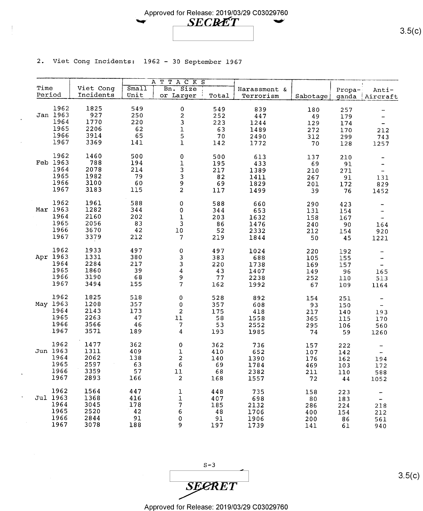

2. Viet Cong Incidents: 1962 - 30 September 1967

|        |          |              |           | ATTACKS                  |           |              |          |            |                              |
|--------|----------|--------------|-----------|--------------------------|-----------|--------------|----------|------------|------------------------------|
| Time   |          | Viet Cong    | Sma11     | Bn. Size                 |           | Harassment & |          | Propa-     | Anti-                        |
| Period |          | Incidents    | Unit      | or Larger                | Total     | Terrorism    | Sabotage | ganda      | Aircraft                     |
|        |          |              |           |                          |           |              |          |            |                              |
|        | 1962     | 1825         | 549       | 0                        | 549       | 839          | 180      | 257        |                              |
|        | Jan 1963 | 927          | 250       | $\overline{\mathbf{c}}$  | 252       | 447          | 49       | 179        | -                            |
|        | 1964     | 1770         | 220       | 3                        | 223       | 1244         | 129      | 174        | $\overline{\phantom{a}}$     |
|        | 1965     | 2206         | 62        |                          | 63        | 1489         | 272      | 170        | 212                          |
|        | 1966     | 3914         | 65        | $\frac{1}{5}$            | 70        | 2490         | 312      | 299        | 743                          |
|        | 1967     | 3369         | 141       | $\mathbf 1$              | 142       | 1772         | 70       | 128        | 1257                         |
|        |          |              |           |                          |           |              |          |            |                              |
|        | 1962     | 1460         | 500       | 0                        | 500       | 613          | 137      | 210        | -                            |
|        | Feb 1963 | 788          | 194       | $\mathbf 1$              | 195       | 433          | 69       | 91         | -                            |
|        | 1964     | 2078         | 214       | 3                        | 217       | 1389         | 210      | 271        | $\overline{\phantom{a}}$     |
|        | 1965     | 1982         | 79        | 3                        | 82        | 1411         | 267      | 91         | 131                          |
|        | 1966     | 3100         | 60        | 9                        | 69        | 1829         | 201      | 172        | 829                          |
|        | 1967     | 3183         | 115       | $\overline{a}$           | 117       | 1499         | 39       | 76         | 1452                         |
|        |          |              |           |                          |           |              |          |            |                              |
|        | 1962     | 1961         | 588       | $\mathbf 0$              | 588       | 660          | 290      | 423        | -                            |
|        | Mar 1963 | 1282         | 344       | 0                        | 344       | 653          | 131      | 154        | $\overline{\phantom{a}}$     |
|        | 1964     | 2160         | 202       | $\mathbf{1}$             | 203       | 1632         | 158      | 167        | $\overline{\phantom{a}}$     |
|        | 1965     | 2056         | 83        | $\mathbf{3}$             | 86        | 1476         | 240      | 90         | 164                          |
|        | 1966     | 3670         | 42        | 10                       | 52        | 2332         | 212      | 154        | 920                          |
|        | 1967     | 3379         | 212       | $\overline{\phantom{a}}$ | 219       | 1844         | 50       | 45         | 1221                         |
|        |          |              |           |                          |           |              |          |            |                              |
|        | 1962     | 1933         | 497       | $\mathbf 0$              | 497       | 1024         | 220      | 192        |                              |
|        | Apr 1963 | 1331         | 380       | 3                        | 383       | 688          | 105      | 155        | $\qquad \qquad \blacksquare$ |
|        | 1964     | 2284         | 217       | 3                        | 220       | 1738         | 169      | 157        | $\overline{\phantom{a}}$     |
|        | 1965     | 1860         | 39        | $\overline{4}$           | 43        | 1407         | 149      | 96         | 165                          |
|        | 1966     | 3190         | 68        | 9                        | 77        | 2238         | 252      | 110        | 513                          |
|        | 1967     | 3494         | 155       | $\overline{\mathcal{L}}$ | 162       | 1992         | 67       | 109        | 1164                         |
|        |          |              |           |                          |           |              |          |            |                              |
|        | 1962     | 1825         | 518       | 0                        | 528       | 892          | 154      | 251        |                              |
|        | May 1963 | 1208         | 357       | 0                        | 357       | 608          | 93       | 150        | $\overline{\phantom{a}}$     |
|        | 1964     | 2143         | 173       | $\overline{a}$           | 175       | 418          | 217      | 140        | 193                          |
|        | 1965     | 2263         | 47        | $11\,$                   | 58        | 1558         | 365      | 115        | 170                          |
|        | 1966     | 3566         | 46        | $\overline{\mathcal{L}}$ | 53        | 2552         | 295      | 106        | 560                          |
|        | 1967     | 3571         | 189       | $\overline{\mathbf{4}}$  | 193       | 1985         | 74       | 59         | 1260                         |
|        |          |              |           |                          |           |              |          |            |                              |
|        | 1962     | 1477         | 362       | 0                        | 362       | 736          | 157      | 222        | -                            |
|        | Jun 1963 | 1311         | 409       | $\mathbf 1$              | 410       | 652          | 107      | 142        | $\overline{\phantom{a}}$     |
|        | 1964     | 2062         | 138       | $\mathbf 2$              | 140       | 1390         | 176      | 162        | 194                          |
|        | 1965     | 2597         | 63        | 6                        | 69        | 1784         | 469      | 103        | 172                          |
|        | 1966     | 3359         | 57        | $11\,$                   | 68        | 2382         | 211      | 110        | 588                          |
|        | 1967     | 2893         | 166       | $\overline{\mathbf{c}}$  | 168       | 1557         | 72       | $\bf 4\,4$ | 1052                         |
|        | 1962     |              |           |                          |           |              |          |            |                              |
|        | Jul 1963 | 1564<br>1368 | 447       | $\mathbf 1$              | 448       | 735          | 158      | 223        | -                            |
|        | 1964     | 3045         | 416       | ı                        | 407       | 698          | 80       | 183        | $\overline{\phantom{a}}$     |
|        | 1965     | 2520         | 178<br>42 | $\boldsymbol{7}$         | 185       | 2132         | 286      | 224        | 218                          |
|        | 1966     | 2844         | 91        | 6                        | 48        | 1706         | 400      | 154        | 212                          |
|        | 1967     | 3078         | 188       | $\pmb{\mathsf{O}}$<br>9  | 91<br>197 | 1906<br>1739 | 200      | 86         | 561                          |
|        |          |              |           |                          |           |              | 141      | 61         | 940                          |

 $S-3$ **SECRET** 

 $3.5(c)$ 

 $3.5(c)$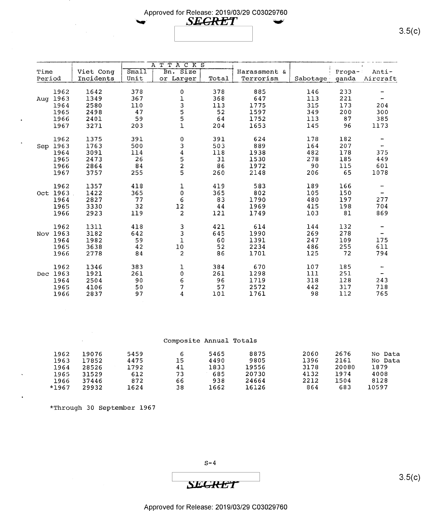## Approved for Release: 2019/03/29 C03029760  $\sim$  SEGRET  $\sim$

|        |          |           |       | TACKS<br>A T      |       |              |          |          |          |
|--------|----------|-----------|-------|-------------------|-------|--------------|----------|----------|----------|
| Time   |          | Viet Cong | Sma11 | Bn. Size          |       | Harassment & |          | $Propa-$ | Anti-    |
| Period |          | Incidents | Unit  | or Larger         | Total | Terrorism    | Sabotage | ganda    | Aircraft |
|        |          |           |       |                   |       |              |          |          |          |
|        | 1962     | 1642      | 378   | 0                 | 378   | 885          | 146      | 233      |          |
| Aug    | 1963     | 1349      | 367   |                   | 368   | 647          | 113      | 221      |          |
|        | 1964     | 2580      | 110   |                   | 113   | 1775         | 315      | 173      | 204      |
|        | 1965     | 2498      | 47    |                   | 52    | 1597         | 349      | 200      | 300      |
|        | 1966     | 2401      | 59    | 13551             | 64    | 1752         | 113      | 87       | 385      |
|        | 1967     | 3271      | 203   |                   | 204   | 1653         | 145      | 96       | 1173     |
|        |          |           |       |                   |       |              |          |          |          |
|        | 1962     | 1375      | 391   | $\pmb{0}$         | 391   | 624          | 178      | 182      |          |
| Sep    | 1963     | 1763      | 500   | 3                 | 503   | 889          | 164      | 207      |          |
|        | 1964     | 3091      | 114   |                   | 118   | 1938         | 482      | 178      | 375      |
|        | 1965     | 2473      | 26    |                   | 31    | 1530         | 278      | 185      | 449      |
|        | 1966     | 2864      | 84    | $\frac{4}{5}$ 2 5 | 86    | 1972         | 90       | 115      | 601      |
|        | 1967     | 3757      | 255   |                   | 260   | 2148         | 206      | 65       | 1078     |
|        |          |           |       |                   |       |              |          |          |          |
|        | 1962     | 1357      | 418   | $\mathbf 1$       | 419   | 583          | 189      | 166      |          |
|        | Oct 1963 | 1422      | 365   | $\pmb{0}$         | 365   | 802          | 105      | 150      |          |
|        | 1964     | 2827      | 77    | 6                 | 83    | 1790         | 480      | 197      | 277      |
|        | 1965     | 3330      | 32    | 12                | 44    | 1969         | 415      | 198      | 704      |
|        | 1966     | 2923      | 119   | $\overline{a}$    | 121   | 1749         | 103      | 81       | 869      |
|        |          |           |       |                   |       |              |          |          |          |
|        | 1962     | 1311      | 418   | $\frac{3}{3}$     | 421   | 614          | 144      | 132      |          |
|        | Nov 1963 | 3182      | 642   |                   | 645   | 1990         | 269      | 278      |          |
|        | 1964     | 1982      | 59    | $\overline{1}$    | 60    | 1391         | 247      | 109      | 175      |
|        | 1965     | 3638      | 42    | $10\,$            | 52    | 2234         | 486      | 255      | 611      |
|        | 1966     | 2778      | 84    | 2                 | 86    | 1701         | 125      | 72       | 794      |
|        |          |           |       |                   |       |              |          |          |          |
|        | 1962     | 1346      | 383   | 1                 | 384   | 670          | 107      | 185      |          |
|        | Dec 1963 | 1921      | 261   | $\pmb{0}$         | 261   | 1298         | 111      | 251      |          |
|        | 1964     | 2504      | 90    | $\epsilon$        | 96    | 1719         | 318      | 128      | 243      |
|        | 1965     | 4106      | 50    | 7                 | 57    | 2572         | 442      | 317      | 718      |
|        | 1966     | 2837      | 97    | 4                 | 101   | 1761         | 98       | 112      | 765      |

|       |       |      |    | Composite Annual Totals |       |      |       |         |
|-------|-------|------|----|-------------------------|-------|------|-------|---------|
| 1962  | 19076 | 5459 | 6  | 5465                    | 8875  | 2060 | 2676  | No Data |
| 1963  | 17852 | 4475 | 15 | 4490                    | 9805  | 1396 | 2161  | No Data |
| 1964  | 28526 | 1792 | 41 | 1833                    | 19556 | 3178 | 20080 | 1879    |
| 1965  | 31529 | 612  | 73 | 685                     | 20730 | 4132 | 1974  | 4008    |
| 1966  | 37446 | 872  | 66 | 938                     | 24664 | 2212 | 1504  | 8128    |
| *1967 | 29932 | 1624 | 38 | 1662                    | 16126 | 864  | 683   | 10597   |

\*Through 30 September 1967

 $S-4$ 

**SECRET** 

 $3.5(c)$